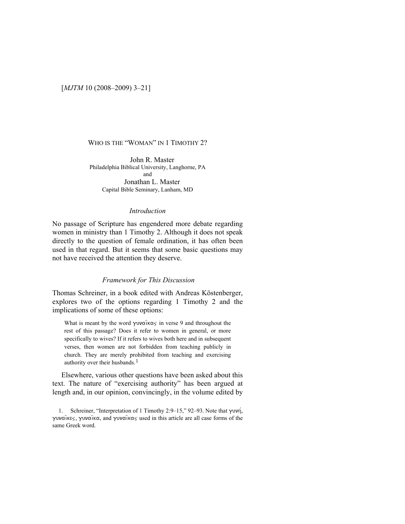[*MJTM* 10 (2008–2009) 3–21]

# WHO IS THE "WOMAN" IN 1 TIMOTHY 2?

John R. Master Philadelphia Biblical University, Langhorne, PA and Jonathan L. Master Capital Bible Seminary, Lanham, MD

### *Introduction*

No passage of Scripture has engendered more debate regarding women in ministry than 1 Timothy 2. Although it does not speak directly to the question of female ordination, it has often been used in that regard. But it seems that some basic questions may not have received the attention they deserve.

# *Framework for This Discussion*

Thomas Schreiner, in a book edited with Andreas Köstenberger, explores two of the options regarding 1 Timothy 2 and the implications of some of these options:

What is meant by the word  $\gamma \nu \alpha \widehat{\alpha} \times \widehat{\alpha}$  in verse 9 and throughout the rest of this passage? Does it refer to women in general, or more specifically to wives? If it refers to wives both here and in subsequent verses, then women are not forbidden from teaching publicly in church. They are merely prohibited from teaching and exercising authority over their husbands.<sup>[1](#page-0-0)</sup>

Elsewhere, various other questions have been asked about this text. The nature of "exercising authority" has been argued at length and, in our opinion, convincingly, in the volume edited by

<span id="page-0-0"></span><sup>1.</sup> Schreiner, "Interpretation of 1 Timothy 2:9–15," 92–93. Note that  $\gamma \nu \nu \gamma$ ,  $\gamma$ UV $\alpha$ ikes,  $\gamma$ UV $\alpha$ ik $\alpha$ , and  $\gamma$ UV $\alpha$ ik $\alpha$ s used in this article are all case forms of the same Greek word.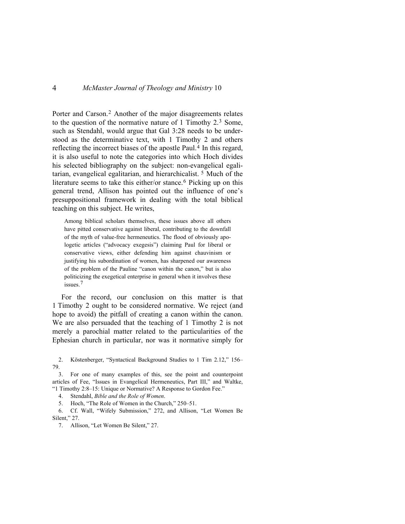Porter and Carson.[2](#page-1-0) Another of the major disagreements relates to the question of the normative nature of 1 Timothy 2.[3](#page-1-1) Some, such as Stendahl, would argue that Gal 3:28 needs to be understood as the determinative text, with 1 Timothy 2 and others reflecting the incorrect biases of the apostle Paul.<sup>[4](#page-1-2)</sup> In this regard, it is also useful to note the categories into which Hoch divides his selected bibliography on the subject: non-evangelical egalitarian, evangelical egalitarian, and hierarchicalist. [5](#page-1-3) Much of the literature seems to take this either/or stance.<sup>[6](#page-1-4)</sup> Picking up on this general trend, Allison has pointed out the influence of one's presuppositional framework in dealing with the total biblical teaching on this subject. He writes,

Among biblical scholars themselves, these issues above all others have pitted conservative against liberal, contributing to the downfall of the myth of value-free hermeneutics. The flood of obviously apologetic articles ("advocacy exegesis") claiming Paul for liberal or conservative views, either defending him against chauvinism or justifying his subordination of women, has sharpened our awareness of the problem of the Pauline "canon within the canon," but is also politicizing the exegetical enterprise in general when it involves these issues.[7](#page-1-5)

For the record, our conclusion on this matter is that 1 Timothy 2 ought to be considered normative. We reject (and hope to avoid) the pitfall of creating a canon within the canon. We are also persuaded that the teaching of 1 Timothy 2 is not merely a parochial matter related to the particularities of the Ephesian church in particular, nor was it normative simply for

<span id="page-1-0"></span>2. Köstenberger, "Syntactical Background Studies to 1 Tim 2.12," 156– 79.

<span id="page-1-1"></span>3. For one of many examples of this, see the point and counterpoint articles of Fee, "Issues in Evangelical Hermeneutics, Part III," and Waltke, "1 Timothy 2:8–15: Unique or Normative? A Response to Gordon Fee."

4. Stendahl, *Bible and the Role of Women*.

5. Hoch, "The Role of Women in the Church," 250–51.

<span id="page-1-5"></span><span id="page-1-4"></span><span id="page-1-3"></span><span id="page-1-2"></span>6. Cf. Wall, "Wifely Submission," 272, and Allison, "Let Women Be Silent," 27.

7. Allison, "Let Women Be Silent," 27.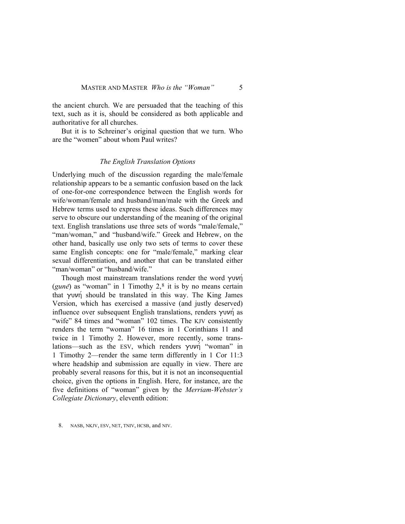the ancient church. We are persuaded that the teaching of this text, such as it is, should be considered as both applicable and authoritative for all churches.

But it is to Schreiner's original question that we turn. Who are the "women" about whom Paul writes?

#### *The English Translation Options*

Underlying much of the discussion regarding the male/female relationship appears to be a semantic confusion based on the lack of one-for-one correspondence between the English words for wife/woman/female and husband/man/male with the Greek and Hebrew terms used to express these ideas. Such differences may serve to obscure our understanding of the meaning of the original text. English translations use three sets of words "male/female," "man/woman," and "husband/wife." Greek and Hebrew, on the other hand, basically use only two sets of terms to cover these same English concepts: one for "male/female," marking clear sexual differentiation, and another that can be translated either "man/woman" or "husband/wife."

Though most mainstream translations render the word  $\gamma$ uvn (*gune*) as "woman" in 1 Timothy  $2<sup>8</sup>$  $2<sup>8</sup>$  $2<sup>8</sup>$  it is by no means certain that  $\gamma$ uvn should be translated in this way. The King James Version, which has exercised a massive (and justly deserved) influence over subsequent English translations, renders  $\gamma$ uvn as "wife" 84 times and "woman" 102 times. The KJV consistently renders the term "woman" 16 times in 1 Corinthians 11 and twice in 1 Timothy 2. However, more recently, some translations—such as the ESV, which renders  $\gamma$ uvn "woman" in 1 Timothy 2—render the same term differently in 1 Cor 11:3 where headship and submission are equally in view. There are probably several reasons for this, but it is not an inconsequential choice, given the options in English. Here, for instance, are the five definitions of "woman" given by the *Merriam-Webster's Collegiate Dictionary*, eleventh edition:

<span id="page-2-0"></span>8. NASB, NKJV, ESV, NET, TNIV, HCSB, and NIV.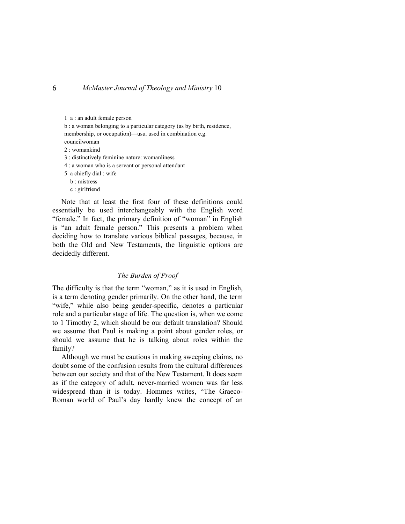1 a : an adult female person b : a woman belonging to a particular category (as by birth, residence, membership, or occupation)—usu. used in combination e.g. councilwoman 2 : womankind 3 : distinctively feminine nature: womanliness 4 : a woman who is a servant or personal attendant 5 a chiefly dial : wife b : mistress

c : girlfriend

Note that at least the first four of these definitions could essentially be used interchangeably with the English word "female." In fact, the primary definition of "woman" in English is "an adult female person." This presents a problem when deciding how to translate various biblical passages, because, in both the Old and New Testaments, the linguistic options are decidedly different.

#### *The Burden of Proof*

The difficulty is that the term "woman," as it is used in English, is a term denoting gender primarily. On the other hand, the term "wife," while also being gender-specific, denotes a particular role and a particular stage of life. The question is, when we come to 1 Timothy 2, which should be our default translation? Should we assume that Paul is making a point about gender roles, or should we assume that he is talking about roles within the family?

Although we must be cautious in making sweeping claims, no doubt some of the confusion results from the cultural differences between our society and that of the New Testament. It does seem as if the category of adult, never-married women was far less widespread than it is today. Hommes writes, "The Graeco-Roman world of Paul's day hardly knew the concept of an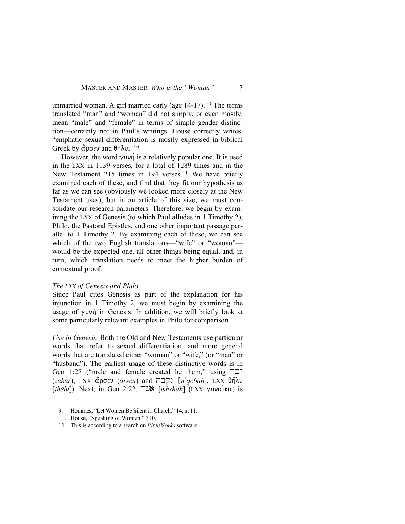unmarried woman. A girl married early (age 14-17)."[9](#page-4-0) The terms translated "man" and "woman" did not simply, or even mostly, mean "male" and "female" in terms of simple gender distinction—certainly not in Paul's writings. House correctly writes, "emphatic sexual differentiation is mostly expressed in biblical Greek by  $\alpha$  ocev and  $\theta$ n $\lambda$ u."<sup>[10](#page-4-1)</sup>

However, the word  $\gamma \nu \nu \nu \dot{\gamma}$  is a relatively popular one. It is used in the LXX in 1139 verses, for a total of 1289 times and in the New Testament 215 times in 194 verses.<sup>[11](#page-4-2)</sup> We have briefly examined each of these, and find that they fit our hypothesis as far as we can see (obviously we looked more closely at the New Testament uses); but in an article of this size, we must consolidate our research parameters. Therefore, we begin by examining the LXX of Genesis (to which Paul alludes in 1 Timothy 2), Philo, the Pastoral Epistles, and one other important passage parallel to 1 Timothy 2. By examining each of these, we can see which of the two English translations—"wife" or "woman" would be the expected one, all other things being equal, and, in turn, which translation needs to meet the higher burden of contextual proof.

#### *The LXX of Genesis and Philo*

Since Paul cites Genesis as part of the explanation for his injunction in 1 Timothy 2, we must begin by examining the usage of  $\gamma$ uvn in Genesis. In addition, we will briefly look at some particularly relevant examples in Philo for comparison.

*Use in Genesis.* Both the Old and New Testaments use particular words that refer to sexual differentiation, and more general words that are translated either "woman" or "wife," (or "man" or "husband"). The earliest usage of these distinctive words is in Gen 1:27 ("male and female created he them," using  $\exists$  $(za\bar{k}a\bar{r})$ , LXX  $\overset{\circ}{\alpha}$ ρσεν (*arsen*) and [ $\overline{r}$ כקב) [*n<sup>e</sup>qebah*], LXX θηλυ  $[th\bar{e}lu]$ ). Next, in Gen 2:22,  $\bar{\Box}$ **EN** [*ishshah*] (LXX  $\gamma$ uvaika) is

- <span id="page-4-0"></span>9. Hommes, "Let Women Be Silent in Church," 14, n. 11.
- 10. House, "Speaking of Women," 310.
- <span id="page-4-2"></span><span id="page-4-1"></span>11. This is according to a search on *BibleWorks* software.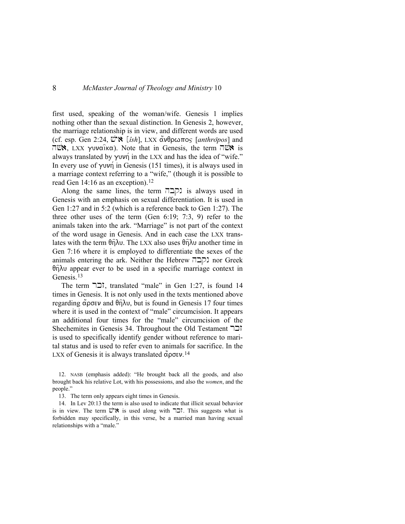first used, speaking of the woman/wife. Genesis 1 implies nothing other than the sexual distinction. In Genesis 2, however, the marriage relationship is in view, and different words are used (cf. esp. Gen 2:24, *U''***'** [*îsh*], LXX ανθρωπος [*anthropos*] and  $\overline{\text{m}}$  LXX  $\gamma$ uvaika). Note that in Genesis, the term  $\overline{\text{m}}$  is always translated by  $\gamma$ uvn in the LXX and has the idea of "wife." In every use of  $\gamma$ uvn in Genesis (151 times), it is always used in a marriage context referring to a "wife," (though it is possible to read Gen 14:16 as an exception).<sup>12</sup>

Along the same lines, the term  $\Pi$  $\Pi$  is always used in Genesis with an emphasis on sexual differentiation. It is used in Gen 1:27 and in 5:2 (which is a reference back to Gen 1:27). The three other uses of the term (Gen 6:19; 7:3, 9) refer to the animals taken into the ark. "Marriage" is not part of the context of the word usage in Genesis. And in each case the LXX translates with the term  $\theta\hat{\eta}\lambda\upsilon$ . The LXX also uses  $\theta\hat{\eta}\lambda\upsilon$  another time in Gen 7:16 where it is employed to differentiate the sexes of the animals entering the ark. Neither the Hebrew  $\Box$ ] nor Greek  $\theta$  $\hat{\eta}$  $\lambda$  $\upsilon$  appear ever to be used in a specific marriage context in Genesis.<sup>[13](#page-5-1)</sup>

The term  $\overline{\phantom{a}}$ , translated "male" in Gen 1:27, is found 14 times in Genesis. It is not only used in the texts mentioned above regarding άρσεν and θηλυ, but is found in Genesis 17 four times where it is used in the context of "male" circumcision. It appears an additional four times for the "male" circumcision of the Shechemites in Genesis 34. Throughout the Old Testament  $\exists$ is used to specifically identify gender without reference to marital status and is used to refer even to animals for sacrifice. In the LXX of Genesis it is always translated  $\alpha$ <sup>2</sup>

<span id="page-5-0"></span>12. NASB (emphasis added): "He brought back all the goods, and also brought back his relative Lot, with his possessions, and also the *women*, and the people."

13. The term only appears eight times in Genesis.

<span id="page-5-2"></span><span id="page-5-1"></span>14. In Lev 20:13 the term is also used to indicate that illicit sexual behavior is in view. The term  $\ddot{\mathbf{w}}$  is used along with  $\Box$ . This suggests what is forbidden may specifically, in this verse, be a married man having sexual relationships with a "male."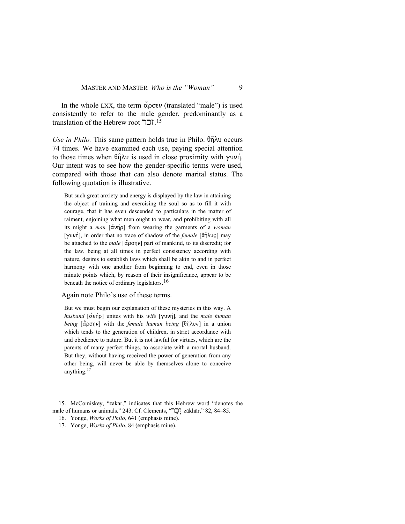In the whole LXX, the term  $\alpha$ <sup>o</sup>  $\rho \sigma \epsilon \nu$  (translated "male") is used consistently to refer to the male gender, predominantly as a translation of the Hebrew root דבר.<sup>[15](#page-6-0)</sup>

*Use in Philo.* This same pattern holds true in Philo.  $\theta$ n $\lambda$ u occurs 74 times. We have examined each use, paying special attention to those times when  $\theta$ n $\lambda$ u is used in close proximity with  $\gamma$ uvn. Our intent was to see how the gender-specific terms were used, compared with those that can also denote marital status. The following quotation is illustrative.

But such great anxiety and energy is displayed by the law in attaining the object of training and exercising the soul so as to fill it with courage, that it has even descended to particulars in the matter of raiment, enjoining what men ought to wear, and prohibiting with all its might a *man*  $\left[\alpha v \right]$  from wearing the garments of a *woman* [ $\gamma$ uvn], in order that no trace of shadow of the *female* [ $\theta$ n $\lambda$ us] may be attached to the *male* [άρσην] part of mankind, to its discredit; for the law, being at all times in perfect consistency according with nature, desires to establish laws which shall be akin to and in perfect harmony with one another from beginning to end, even in those minute points which, by reason of their insignificance, appear to be beneath the notice of ordinary legislators.<sup>[16](#page-6-1)</sup>

#### Again note Philo's use of these terms.

But we must begin our explanation of these mysteries in this way. A *husband* [ανήρ] unites with his *wife* [γυνή], and the *male human being* [αρσην] with the *female human being* [θηλυς] in a union which tends to the generation of children, in strict accordance with and obedience to nature. But it is not lawful for virtues, which are the parents of many perfect things, to associate with a mortal husband. But they, without having received the power of generation from any other being, will never be able by themselves alone to conceive anything.<sup>[17](#page-6-2)</sup>

<span id="page-6-2"></span><span id="page-6-1"></span><span id="page-6-0"></span><sup>15.</sup> McComiskey, "zākār," indicates that this Hebrew word "denotes the male of humans or animals." 243. Cf. Clements, "בְּרָ" zākhār," 82, 84–85.

<sup>16.</sup> Yonge, *Works of Philo*, 641 (emphasis mine).

<sup>17.</sup> Yonge, *Works of Philo*, 84 (emphasis mine).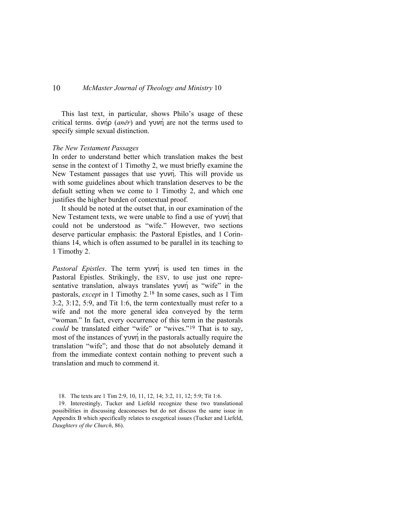This last text, in particular, shows Philo's usage of these critical terms.  $\alpha v \eta \rho$  (*aner*) and  $\gamma v \eta \eta$  are not the terms used to specify simple sexual distinction.

#### *The New Testament Passages*

In order to understand better which translation makes the best sense in the context of 1 Timothy 2, we must briefly examine the New Testament passages that use  $\gamma$ uvn. This will provide us with some guidelines about which translation deserves to be the default setting when we come to 1 Timothy 2, and which one justifies the higher burden of contextual proof.

It should be noted at the outset that, in our examination of the New Testament texts, we were unable to find a use of  $\gamma$ uvn that could not be understood as "wife." However, two sections deserve particular emphasis: the Pastoral Epistles, and 1 Corinthians 14, which is often assumed to be parallel in its teaching to 1 Timothy 2.

*Pastoral Epistles*. The term  $\gamma \nu \nu \dot{\gamma}$  is used ten times in the Pastoral Epistles. Strikingly, the ESV, to use just one representative translation, always translates  $\gamma$ uvn as "wife" in the pastorals, *except* in 1 Timothy 2.[18](#page-7-0) In some cases, such as 1 Tim 3:2, 3:12, 5:9, and Tit 1:6, the term contextually must refer to a wife and not the more general idea conveyed by the term "woman." In fact, every occurrence of this term in the pastorals *could* be translated either "wife" or "wives."<sup>[19](#page-7-1)</sup> That is to say, most of the instances of  $\gamma \nu \nu \eta$  in the pastorals actually require the translation "wife"; and those that do not absolutely demand it from the immediate context contain nothing to prevent such a translation and much to commend it.

<sup>18.</sup> The texts are 1 Tim 2:9, 10, 11, 12, 14; 3:2, 11, 12; 5:9; Tit 1:6.

<span id="page-7-1"></span><span id="page-7-0"></span><sup>19.</sup> Interestingly, Tucker and Liefeld recognize these two translational possibilities in discussing deaconesses but do not discuss the same issue in Appendix B which specifically relates to exegetical issues (Tucker and Liefeld, *Daughters of the Church*, 86).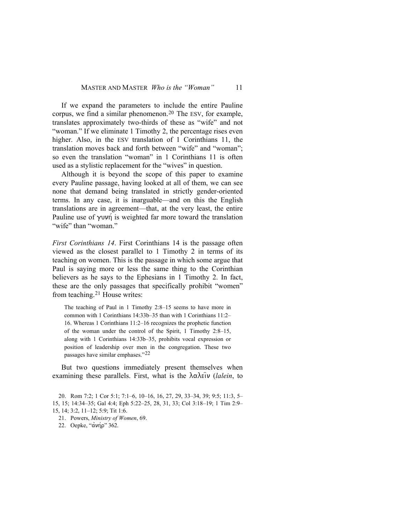If we expand the parameters to include the entire Pauline corpus, we find a similar phenomenon.<sup>[20](#page-8-0)</sup> The ESV, for example, translates approximately two-thirds of these as "wife" and not "woman." If we eliminate 1 Timothy 2, the percentage rises even higher. Also, in the ESV translation of 1 Corinthians 11, the translation moves back and forth between "wife" and "woman"; so even the translation "woman" in 1 Corinthians 11 is often used as a stylistic replacement for the "wives" in question.

Although it is beyond the scope of this paper to examine every Pauline passage, having looked at all of them, we can see none that demand being translated in strictly gender-oriented terms. In any case, it is inarguable—and on this the English translations are in agreement—that, at the very least, the entire Pauline use of  $\gamma$ uvn is weighted far more toward the translation "wife" than "woman"

*First Corinthians 14*. First Corinthians 14 is the passage often viewed as the closest parallel to 1 Timothy 2 in terms of its teaching on women. This is the passage in which some argue that Paul is saying more or less the same thing to the Corinthian believers as he says to the Ephesians in 1 Timothy 2. In fact, these are the only passages that specifically prohibit "women" from teaching.[21](#page-8-1) House writes:

The teaching of Paul in 1 Timothy 2:8–15 seems to have more in common with 1 Corinthians 14:33b–35 than with 1 Corinthians 11:2– 16. Whereas 1 Corinthians 11:2–16 recognizes the prophetic function of the woman under the control of the Spirit, 1 Timothy 2:8–15, along with 1 Corinthians 14:33b–35, prohibits vocal expression or position of leadership over men in the congregation. These two passages have similar emphases."[22](#page-8-2)

But two questions immediately present themselves when examining these parallels. First, what is the  $\lambda \alpha \lambda \epsilon \hat{i} \nu$  (*lalein*, to

<span id="page-8-1"></span><span id="page-8-0"></span><sup>20.</sup> Rom 7:2; 1 Cor 5:1; 7:1–6, 10–16, 16, 27, 29, 33–34, 39; 9:5; 11:3, 5– 15, 15; 14:34–35; Gal 4:4; Eph 5:22–25, 28, 31, 33; Col 3:18–19; 1 Tim 2:9– 15, 14; 3:2, 11–12; 5:9; Tit 1:6.

<sup>21.</sup> Powers, *Ministry of Women*, 69.

<span id="page-8-2"></span><sup>22.</sup> Oepke, "ανήρ" 362.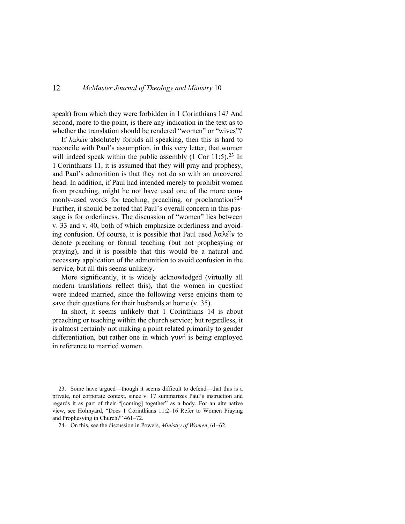speak) from which they were forbidden in 1 Corinthians 14? And second, more to the point, is there any indication in the text as to whether the translation should be rendered "women" or "wives"?

If  $\lambda \alpha \lambda \epsilon \hat{\imath} \nu$  absolutely forbids all speaking, then this is hard to reconcile with Paul's assumption, in this very letter, that women will indeed speak within the public assembly  $(1 \text{ Cor } 11:5)$ .<sup>[23](#page-9-0)</sup> In 1 Corinthians 11, it is assumed that they will pray and prophesy, and Paul's admonition is that they not do so with an uncovered head. In addition, if Paul had intended merely to prohibit women from preaching, might he not have used one of the more com-monly-used words for teaching, preaching, or proclamation?<sup>[24](#page-9-1)</sup> Further, it should be noted that Paul's overall concern in this passage is for orderliness. The discussion of "women" lies between v. 33 and v. 40, both of which emphasize orderliness and avoiding confusion. Of course, it is possible that Paul used  $\lambda \alpha \lambda \epsilon \hat{i} \nu$  to denote preaching or formal teaching (but not prophesying or praying), and it is possible that this would be a natural and necessary application of the admonition to avoid confusion in the service, but all this seems unlikely.

More significantly, it is widely acknowledged (virtually all modern translations reflect this), that the women in question were indeed married, since the following verse enjoins them to save their questions for their husbands at home (v. 35).

In short, it seems unlikely that 1 Corinthians 14 is about preaching or teaching within the church service; but regardless, it is almost certainly not making a point related primarily to gender differentiation, but rather one in which  $\gamma$ uvn is being employed in reference to married women.

<span id="page-9-0"></span>23. Some have argued—though it seems difficult to defend—that this is a private, not corporate context, since v. 17 summarizes Paul's instruction and regards it as part of their "[coming] together" as a body. For an alternative view, see Holmyard, "Does 1 Corinthians 11:2–16 Refer to Women Praying and Prophesying in Church?" 461–72.

<span id="page-9-1"></span>24. On this, see the discussion in Powers, *Ministry of Women*, 61–62.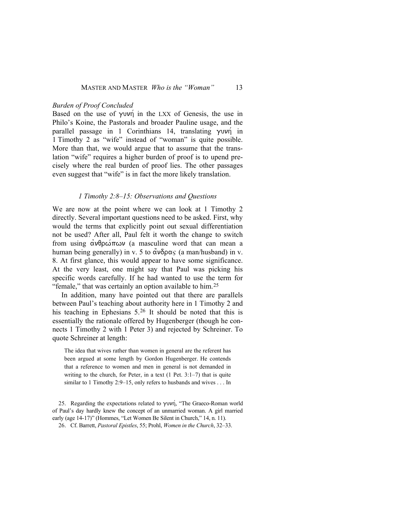## *Burden of Proof Concluded*

Based on the use of  $\gamma$  in the LXX of Genesis, the use in Philo's Koine, the Pastorals and broader Pauline usage, and the parallel passage in 1 Corinthians 14, translating  $\gamma$ uvn in 1 Timothy 2 as "wife" instead of "woman" is quite possible. More than that, we would argue that to assume that the translation "wife" requires a higher burden of proof is to upend precisely where the real burden of proof lies. The other passages even suggest that "wife" is in fact the more likely translation.

## *1 Timothy 2:8–15: Observations and Questions*

We are now at the point where we can look at 1 Timothy 2 directly. Several important questions need to be asked. First, why would the terms that explicitly point out sexual differentiation not be used? After all, Paul felt it worth the change to switch from using  $\alpha \nu \theta \rho \omega \pi \omega \nu$  (a masculine word that can mean a human being generally) in v. 5 to  $\alpha \nu \delta \rho \alpha \varsigma$  (a man/husband) in v. 8. At first glance, this would appear to have some significance. At the very least, one might say that Paul was picking his specific words carefully. If he had wanted to use the term for "female," that was certainly an option available to him.<sup>[25](#page-10-0)</sup>

In addition, many have pointed out that there are parallels between Paul's teaching about authority here in 1 Timothy 2 and his teaching in Ephesians  $5^{26}$  $5^{26}$  $5^{26}$  It should be noted that this is essentially the rationale offered by Hugenberger (though he connects 1 Timothy 2 with 1 Peter 3) and rejected by Schreiner. To quote Schreiner at length:

The idea that wives rather than women in general are the referent has been argued at some length by Gordon Hugenberger. He contends that a reference to women and men in general is not demanded in writing to the church, for Peter, in a text (1 Pet. 3:1–7) that is quite similar to 1 Timothy 2:9–15, only refers to husbands and wives . . . In

<span id="page-10-1"></span><span id="page-10-0"></span>25. Regarding the expectations related to  $\gamma \nu \nu \eta$ , "The Graeco-Roman world of Paul's day hardly knew the concept of an unmarried woman. A girl married early (age 14-17)" (Hommes, "Let Women Be Silent in Church," 14, n. 11).

26. Cf. Barrett, *Pastoral Epistles*, 55; Prohl, *Women in the Church*, 32–33.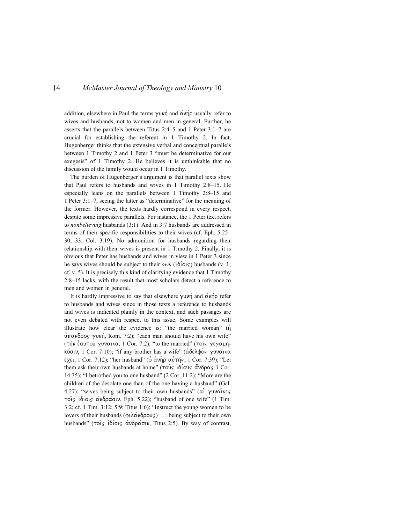addition, elsewhere in Paul the terms  $\gamma \nu \nu \eta$  and  $\alpha \nu \eta \rho$  usually refer to wives and husbands, not to women and men in general. Further, he asserts that the parallels between Titus 2:4–5 and 1 Peter 3:1–7 are crucial for establishing the referent in 1 Timothy 2. In fact, Hugenberger thinks that the extensive verbal and conceptual parallels between 1 Timothy 2 and 1 Peter 3 "must be determinative for our exegesis" of 1 Timothy 2. He believes it is unthinkable that no discussion of the family would occur in 1 Timothy.

 The burden of Hugenberger's argument is that parallel texts show that Paul refers to husbands and wives in 1 Timothy 2:8–15. He especially leans on the parallels between 1 Timothy 2:8–15 and 1 Peter 3:1–7, seeing the latter as "determinative" for the meaning of the former. However, the texts hardly correspond in every respect, despite some impressive parallels. For instance, the 1 Peter text refers to *nonbelieving* husbands (3:1). And in 3:7 husbands are addressed in terms of their specific responsibilities to their wives (cf. Eph. 5:25– 30, 33; Col. 3:19). No admonition for husbands regarding their relationship with their wives is present in 1 Timothy 2. Finally, it is obvious that Peter has husbands and wives in view in 1 Peter 3 since he says wives should be subject to their *own* ( $\delta$ iois) husbands (v. 1; cf. v. 5). It is precisely this kind of clarifying evidence that 1 Timothy 2:8–15 lacks, with the result that most scholars detect a reference to men and women in general.

It is hardly impressive to say that elsewhere  $\gamma$ uvn and  $\alpha$ vn p refer to husbands and wives since in those texts a reference to husbands and wives is indicated plainly in the context, and such passages are not even debated with respect to this issue. Some examples will illustrate how clear the evidence is: "the married woman"  $(\eta)$  $\hat{\mathbf{u}}$ πανδρος γυνή, Rom. 7:2); "each man should have his own wife" (την εαυτού γυναίκα, 1 Cor. 7:2); "to the married" (τοις γεγαμηκόσιν, 1 Cor. 7:10); "if any brother has a wife" (άδελφός γυναϊκα  $\epsilon$ <sub>χει,</sub> 1 Cor. 7:12); "her husband" (o ανήρ αυτής, 1 Cor. 7:39); "Let them ask their own husbands at home" ( $\tau \circ \psi_S$  i $\delta(\sigma \circ \psi_S \circ \sigma \circ \psi_S)$  1 Cor. 14:35); "I betrothed you to one husband" (2 Cor. 11:2); "More are the children of the desolate one than of the one having a husband" (Gal. 4:27); "wives being subject to their own husbands" ( $\alpha$ i  $\gamma$ uvaikes τοις ιδίοις ανδράσιν, Eph. 5:22); "husband of one wife" (1 Tim. 3:2; cf. 1 Tim. 3:12; 5:9; Titus 1:6); "Instruct the young women to be lovers of their husbands ( $\phi \in \Lambda$  $\alpha \nu \delta \rho \infty$ )... being subject to their own husbands" ( $\tau$ ois i $\delta$ iois  $\alpha\upsilon\delta\rho\alpha\varsigma$ oiv, Titus 2:5). By way of contrast,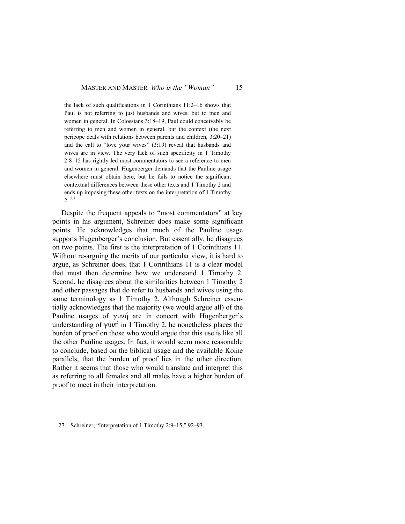#### MASTER AND MASTER *Who is the "Woman"* 15

the lack of such qualifications in 1 Corinthians 11:2–16 shows that Paul is not referring to just husbands and wives, but to men and women in general. In Colossians 3:18–19, Paul could conceivably be referring to men and women in general, but the context (the next pericope deals with relations between parents and children, 3:20–21) and the call to "love your wives" (3:19) reveal that husbands and wives are in view. The very lack of such specificity in 1 Timothy 2:8–15 has rightly led most commentators to see a reference to men and women in general. Hugenberger demands that the Pauline usage elsewhere must obtain here, but he fails to notice the significant contextual differences between these other texts and 1 Timothy 2 and ends up imposing these other texts on the interpretation of 1 Timothy  $2.27$  $2.27$ 

Despite the frequent appeals to "most commentators" at key points in his argument, Schreiner does make some significant points. He acknowledges that much of the Pauline usage supports Hugenberger's conclusion. But essentially, he disagrees on two points. The first is the interpretation of 1 Corinthians 11. Without re-arguing the merits of our particular view, it is hard to argue, as Schreiner does, that 1 Corinthians 11 is a clear model that must then determine how we understand 1 Timothy 2. Second, he disagrees about the similarities between 1 Timothy 2 and other passages that do refer to husbands and wives using the same terminology as 1 Timothy 2. Although Schreiner essentially acknowledges that the majority (we would argue all) of the Pauline usages of  $\gamma$ uvn are in concert with Hugenberger's understanding of  $\gamma$ uvn in 1 Timothy 2, he nonetheless places the burden of proof on those who would argue that this use is like all the other Pauline usages. In fact, it would seem more reasonable to conclude, based on the biblical usage and the available Koine parallels, that the burden of proof lies in the other direction. Rather it seems that those who would translate and interpret this as referring to all females and all males have a higher burden of proof to meet in their interpretation.

<span id="page-12-0"></span><sup>27.</sup> Schreiner, "Interpretation of 1 Timothy 2:9–15," 92–93.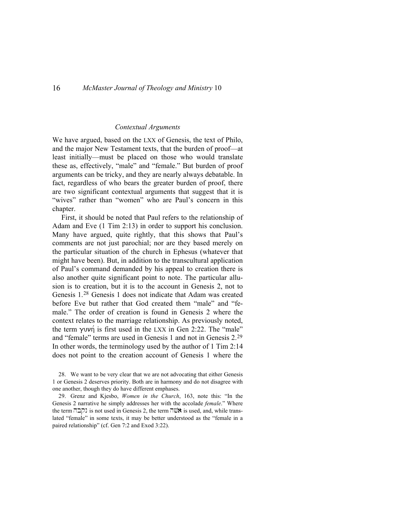#### *Contextual Arguments*

We have argued, based on the LXX of Genesis, the text of Philo, and the major New Testament texts, that the burden of proof—at least initially—must be placed on those who would translate these as, effectively, "male" and "female." But burden of proof arguments can be tricky, and they are nearly always debatable. In fact, regardless of who bears the greater burden of proof, there are two significant contextual arguments that suggest that it is "wives" rather than "women" who are Paul's concern in this chapter.

First, it should be noted that Paul refers to the relationship of Adam and Eve (1 Tim 2:13) in order to support his conclusion. Many have argued, quite rightly, that this shows that Paul's comments are not just parochial; nor are they based merely on the particular situation of the church in Ephesus (whatever that might have been). But, in addition to the transcultural application of Paul's command demanded by his appeal to creation there is also another quite significant point to note. The particular allusion is to creation, but it is to the account in Genesis 2, not to Genesis 1.[28](#page-13-0) Genesis 1 does not indicate that Adam was created before Eve but rather that God created them "male" and "female." The order of creation is found in Genesis 2 where the context relates to the marriage relationship. As previously noted, the term  $\gamma$ uvn is first used in the LXX in Gen 2:22. The "male" and "female" terms are used in Genesis 1 and not in Genesis 2.[29](#page-13-1) In other words, the terminology used by the author of 1 Tim 2:14 does not point to the creation account of Genesis 1 where the

<span id="page-13-0"></span>28. We want to be very clear that we are not advocating that either Genesis 1 or Genesis 2 deserves priority. Both are in harmony and do not disagree with one another, though they do have different emphases.

<span id="page-13-1"></span>29. Grenz and Kjesbo, *Women in the Church*, 163, note this: "In the Genesis 2 narrative he simply addresses her with the accolade *female*." Where the term  $\Box \Box \Box$  is not used in Genesis 2, the term  $\Box \ddot{W}$  is used, and, while translated "female" in some texts, it may be better understood as the "female in a paired relationship" (cf. Gen 7:2 and Exod 3:22).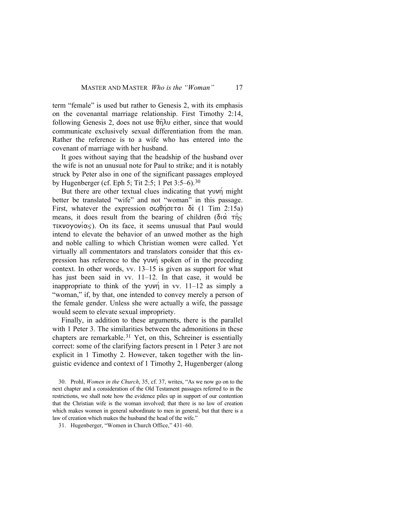term "female" is used but rather to Genesis 2, with its emphasis on the covenantal marriage relationship. First Timothy 2:14, following Genesis 2, does not use  $\theta$  $\hat{\eta}$  $\lambda \upsilon$  either, since that would communicate exclusively sexual differentiation from the man. Rather the reference is to a wife who has entered into the covenant of marriage with her husband.

It goes without saying that the headship of the husband over the wife is not an unusual note for Paul to strike; and it is notably struck by Peter also in one of the significant passages employed by Hugenberger (cf. Eph 5; Tit 2:5; 1 Pet 3:5–6).[30](#page-14-0)

But there are other textual clues indicating that  $\gamma$ uvn might better be translated "wife" and not "woman" in this passage. First, whatever the expression  $\sigma \omega \theta \eta \sigma \epsilon \tau \alpha$  de (1 Tim 2:15a) means, it does result from the bearing of children ( $\delta$ i $\alpha$   $\tau$  $\eta$  $\varsigma$ τεκνογονίας). On its face, it seems unusual that Paul would intend to elevate the behavior of an unwed mother as the high and noble calling to which Christian women were called. Yet virtually all commentators and translators consider that this expression has reference to the  $\gamma$ uvn spoken of in the preceding context. In other words, vv. 13–15 is given as support for what has just been said in vv. 11–12. In that case, it would be inappropriate to think of the  $\gamma$ <sup>i</sup> in vv. 11–12 as simply a "woman," if, by that, one intended to convey merely a person of the female gender. Unless she were actually a wife, the passage would seem to elevate sexual impropriety.

Finally, in addition to these arguments, there is the parallel with 1 Peter 3. The similarities between the admonitions in these chapters are remarkable.[31](#page-14-1) Yet, on this, Schreiner is essentially correct: some of the clarifying factors present in 1 Peter 3 are not explicit in 1 Timothy 2. However, taken together with the linguistic evidence and context of 1 Timothy 2, Hugenberger (along

<span id="page-14-0"></span><sup>30.</sup> Prohl, *Women in the Church*, 35, cf. 37, writes, "As we now go on to the next chapter and a consideration of the Old Testament passages referred to in the restrictions, we shall note how the evidence piles up in support of our contention that the Christian wife is the woman involved; that there is no law of creation which makes women in general subordinate to men in general, but that there is a law of creation which makes the husband the head of the wife."

<span id="page-14-1"></span><sup>31.</sup> Hugenberger, "Women in Church Office," 431–60.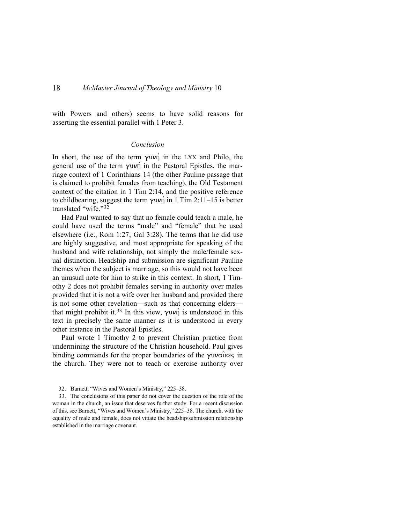with Powers and others) seems to have solid reasons for asserting the essential parallel with 1 Peter 3.

### *Conclusion*

In short, the use of the term  $\gamma$ uvn in the LXX and Philo, the general use of the term  $\gamma$ uv $\eta$  in the Pastoral Epistles, the marriage context of 1 Corinthians 14 (the other Pauline passage that is claimed to prohibit females from teaching), the Old Testament context of the citation in 1 Tim 2:14, and the positive reference to childbearing, suggest the term  $\gamma$ uvn in 1 Tim 2:11–15 is better translated "wife."[32](#page-15-0)

Had Paul wanted to say that no female could teach a male, he could have used the terms "male" and "female" that he used elsewhere (i.e., Rom 1:27; Gal 3:28). The terms that he did use are highly suggestive, and most appropriate for speaking of the husband and wife relationship, not simply the male/female sexual distinction. Headship and submission are significant Pauline themes when the subject is marriage, so this would not have been an unusual note for him to strike in this context. In short, 1 Timothy 2 does not prohibit females serving in authority over males provided that it is not a wife over her husband and provided there is not some other revelation—such as that concerning elders— that might prohibit it.<sup>[33](#page-15-1)</sup> In this view,  $\gamma \nu \nu \eta$  is understood in this text in precisely the same manner as it is understood in every other instance in the Pastoral Epistles.

Paul wrote 1 Timothy 2 to prevent Christian practice from undermining the structure of the Christian household. Paul gives binding commands for the proper boundaries of the  $\gamma$ uvaikes in the church. They were not to teach or exercise authority over

<sup>32.</sup> Barnett, "Wives and Women's Ministry," 225–38.

<span id="page-15-1"></span><span id="page-15-0"></span><sup>33.</sup> The conclusions of this paper do not cover the question of the role of the woman in the church, an issue that deserves further study. For a recent discussion of this, see Barnett, "Wives and Women's Ministry," 225–38. The church, with the equality of male and female, does not vitiate the headship/submission relationship established in the marriage covenant.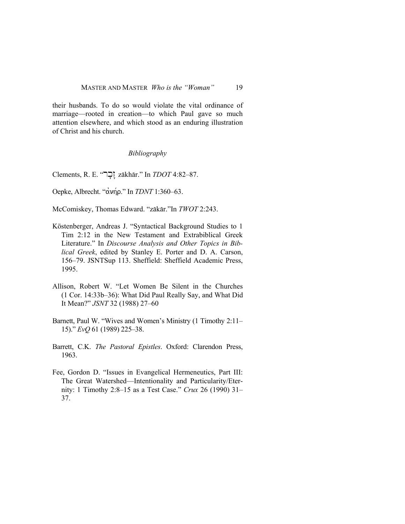their husbands. To do so would violate the vital ordinance of marriage—rooted in creation—to which Paul gave so much attention elsewhere, and which stood as an enduring illustration of Christ and his church.

### *Bibliography*

Clements, R. E. "רְבָּר $z$ ākhār." In *TDOT* 4:82–87.

Oepke, Albrecht. "ανήρ." In *TDNT* 1:360–63.

McComiskey, Thomas Edward. "zākār."In *TWOT* 2:243.

- Köstenberger, Andreas J. "Syntactical Background Studies to 1 Tim 2:12 in the New Testament and Extrabiblical Greek Literature." In *Discourse Analysis and Other Topics in Biblical Greek*, edited by Stanley E. Porter and D. A. Carson, 156–79. JSNTSup 113. Sheffield: Sheffield Academic Press, 1995.
- Allison, Robert W. "Let Women Be Silent in the Churches (1 Cor. 14:33b–36): What Did Paul Really Say, and What Did It Mean?" *JSNT* 32 (1988) 27–60
- Barnett, Paul W. "Wives and Women's Ministry (1 Timothy 2:11– 15)." *EvQ* 61 (1989) 225–38.
- Barrett, C.K. *The Pastoral Epistles*. Oxford: Clarendon Press, 1963.
- Fee, Gordon D. "Issues in Evangelical Hermeneutics, Part III: The Great Watershed—Intentionality and Particularity/Eternity: 1 Timothy 2:8–15 as a Test Case." *Crux* 26 (1990) 31– 37.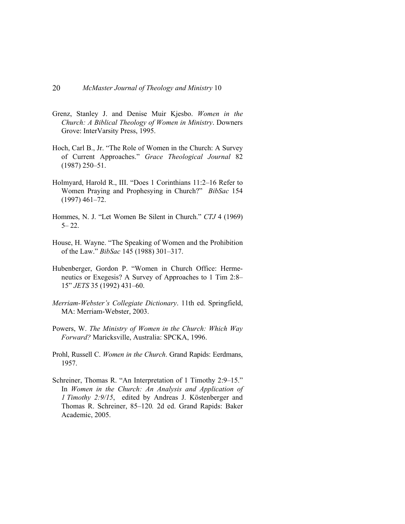- Grenz, Stanley J. and Denise Muir Kjesbo. *Women in the Church: A Biblical Theology of Women in Ministry*. Downers Grove: InterVarsity Press, 1995.
- Hoch, Carl B., Jr. "The Role of Women in the Church: A Survey of Current Approaches." *Grace Theological Journal* 82 (1987) 250–51.
- Holmyard, Harold R., III. "Does 1 Corinthians 11:2–16 Refer to Women Praying and Prophesying in Church?" *BibSac* 154 (1997) 461–72.
- Hommes, N. J. "Let Women Be Silent in Church." *CTJ* 4 (1969)  $5 - 22$ .
- House, H. Wayne. "The Speaking of Women and the Prohibition of the Law." *BibSac* 145 (1988) 301–317.
- Hubenberger, Gordon P. "Women in Church Office: Hermeneutics or Exegesis? A Survey of Approaches to 1 Tim 2:8– 15" *JETS* 35 (1992) 431–60.
- *Merriam-Webster's Collegiate Dictionary*. 11th ed. Springfield, MA: Merriam-Webster, 2003.
- Powers, W. *The Ministry of Women in the Church: Which Way Forward?* Maricksville, Australia: SPCKA, 1996.
- Prohl, Russell C. *Women in the Church*. Grand Rapids: Eerdmans, 1957.
- Schreiner, Thomas R. "An Interpretation of 1 Timothy 2:9–15." In *Women in the Church: An Analysis and Application of 1 Timothy 2:9/15*, edited by Andreas J. Köstenberger and Thomas R. Schreiner, 85–120*.* 2d ed. Grand Rapids: Baker Academic, 2005.